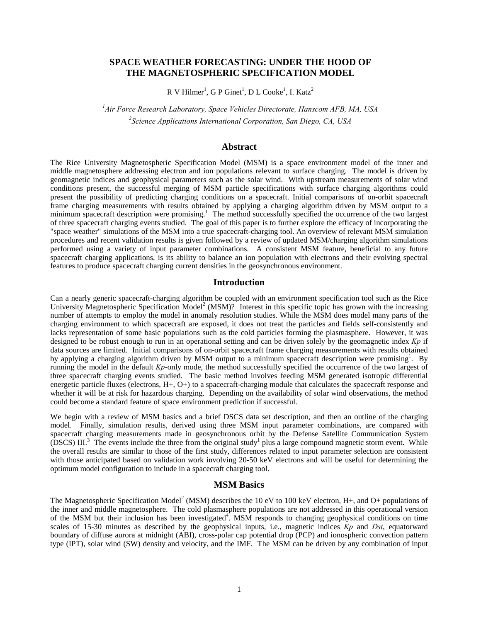# **SPACE WEATHER FORECASTING: UNDER THE HOOD OF THE MAGNETOSPHERIC SPECIFICATION MODEL**

 $R$  V Hilmer<sup>1</sup>, G P Ginet<sup>1</sup>, D L Cooke<sup>1</sup>, I. Katz<sup>2</sup>

*1 Air Force Research Laboratory, Space Vehicles Directorate, Hanscom AFB, MA, USA 2 Science Applications International Corporation, San Diego, CA, USA* 

## **Abstract**

The Rice University Magnetospheric Specification Model (MSM) is a space environment model of the inner and middle magnetosphere addressing electron and ion populations relevant to surface charging. The model is driven by geomagnetic indices and geophysical parameters such as the solar wind. With upstream measurements of solar wind conditions present, the successful merging of MSM particle specifications with surface charging algorithms could present the possibility of predicting charging conditions on a spacecraft. Initial comparisons of on-orbit spacecraft frame charging measurements with results obtained by applying a charging algorithm driven by MSM output to a minimum spacecraft description were promising.<sup>1</sup> The method successfully specified the occurrence of the two largest of three spacecraft charging events studied. The goal of this paper is to further explore the efficacy of incorporating the "space weather" simulations of the MSM into a true spacecraft-charging tool. An overview of relevant MSM simulation procedures and recent validation results is given followed by a review of updated MSM/charging algorithm simulations performed using a variety of input parameter combinations. A consistent MSM feature, beneficial to any future spacecraft charging applications, is its ability to balance an ion population with electrons and their evolving spectral features to produce spacecraft charging current densities in the geosynchronous environment.

### **Introduction**

Can a nearly generic spacecraft-charging algorithm be coupled with an environment specification tool such as the Rice University Magnetospheric Specification Model<sup>2</sup> (MSM)? Interest in this specific topic has grown with the increasing number of attempts to employ the model in anomaly resolution studies. While the MSM does model many parts of the charging environment to which spacecraft are exposed, it does not treat the particles and fields self-consistently and lacks representation of some basic populations such as the cold particles forming the plasmasphere. However, it was designed to be robust enough to run in an operational setting and can be driven solely by the geomagnetic index *Kp* if data sources are limited. Initial comparisons of on-orbit spacecraft frame charging measurements with results obtained by applying a charging algorithm driven by MSM output to a minimum spacecraft description were promising<sup>1</sup>. By running the model in the default *Kp*-only mode, the method successfully specified the occurrence of the two largest of three spacecraft charging events studied. The basic method involves feeding MSM generated isotropic differential energetic particle fluxes (electrons, H+, O+) to a spacecraft-charging module that calculates the spacecraft response and whether it will be at risk for hazardous charging. Depending on the availability of solar wind observations, the method could become a standard feature of space environment prediction if successful.

We begin with a review of MSM basics and a brief DSCS data set description, and then an outline of the charging model. Finally, simulation results, derived using three MSM input parameter combinations, are compared with spacecraft charging measurements made in geosynchronous orbit by the Defense Satellite Communication System  $(DSCS)$  III.<sup>3</sup> The events include the three from the original study<sup>1</sup> plus a large compound magnetic storm event. While the overall results are similar to those of the first study, differences related to input parameter selection are consistent with those anticipated based on validation work involving 20-50 keV electrons and will be useful for determining the optimum model configuration to include in a spacecraft charging tool.

## **MSM Basics**

The Magnetospheric Specification Model<sup>2</sup> (MSM) describes the 10 eV to 100 keV electron, H+, and O+ populations of the inner and middle magnetosphere. The cold plasmasphere populations are not addressed in this operational version of the MSM but their inclusion has been investigated<sup>4</sup>. MSM responds to changing geophysical conditions on time scales of 15-30 minutes as described by the geophysical inputs, i.e., magnetic indices *Kp* and *Dst*, equatorward boundary of diffuse aurora at midnight (ABI), cross-polar cap potential drop (PCP) and ionospheric convection pattern type (IPT), solar wind (SW) density and velocity, and the IMF. The MSM can be driven by any combination of input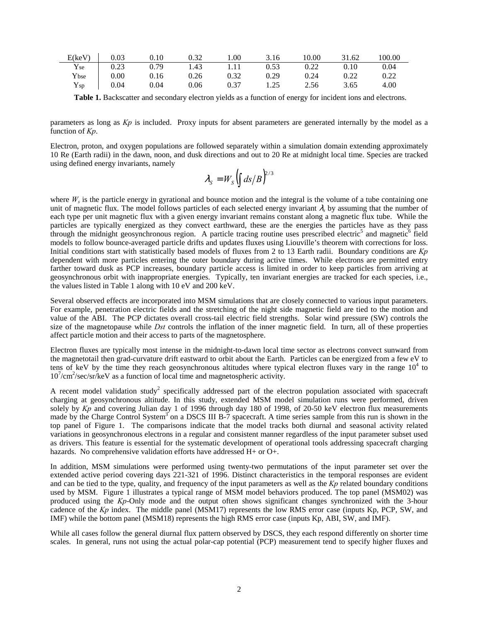| E(keV)             | 0.03 | 0.10 | 0.32 | 00.1 | 3.16 | 10.00 | 31.62 | 100.00 |
|--------------------|------|------|------|------|------|-------|-------|--------|
| $Y_{\rm se}$       | 0.23 | 0.79 | 1.43 | 1.11 | 0.53 | 0.22  | 0.10  | 0.04   |
| Ybse               | 0.00 | 0.16 | 0.26 | 0.32 | 0.29 | 0.24  | 0.22  |        |
| ${\rm Y}_{\rm sp}$ | 0.04 | 0.04 | 0.06 | 0.37 | 1.25 | 2.56  | 3.65  | 4.00   |

**Table 1.** Backscatter and secondary electron yields as a function of energy for incident ions and electrons.

parameters as long as *Kp* is included. Proxy inputs for absent parameters are generated internally by the model as a function of *Kp*.

Electron, proton, and oxygen populations are followed separately within a simulation domain extending approximately 10 Re (Earth radii) in the dawn, noon, and dusk directions and out to 20 Re at midnight local time. Species are tracked using defined energy invariants, namely

$$
\lambda_{\rm S}=W_{\rm S}\bigl(\int ds/B\bigr)^{2/3}
$$

where  $W_s$  is the particle energy in gyrational and bounce motion and the integral is the volume of a tube containing one unit of magnetic flux. The model follows particles of each selected energy invariant  $\lambda_s$  by assuming that the number of each type per unit magnetic flux with a given energy invariant remains constant along a magnetic flux tube. While the particles are typically energized as they convect earthward, these are the energies the particles have as they pass through the midnight geosynchronous region. A particle tracing routine uses prescribed electric<sup>5</sup> and magnetic<sup>6</sup> field models to follow bounce-averaged particle drifts and updates fluxes using Liouville's theorem with corrections for loss. Initial conditions start with statistically based models of fluxes from 2 to 13 Earth radii. Boundary conditions are *Kp* dependent with more particles entering the outer boundary during active times. While electrons are permitted entry farther toward dusk as PCP increases, boundary particle access is limited in order to keep particles from arriving at geosynchronous orbit with inappropriate energies. Typically, ten invariant energies are tracked for each species, i.e., the values listed in Table 1 along with 10 eV and 200 keV.

Several observed effects are incorporated into MSM simulations that are closely connected to various input parameters. For example, penetration electric fields and the stretching of the night side magnetic field are tied to the motion and value of the ABI. The PCP dictates overall cross-tail electric field strengths. Solar wind pressure (SW) controls the size of the magnetopause while *Dst* controls the inflation of the inner magnetic field. In turn, all of these properties affect particle motion and their access to parts of the magnetosphere.

Electron fluxes are typically most intense in the midnight-to-dawn local time sector as electrons convect sunward from the magnetotail then grad-curvature drift eastward to orbit about the Earth. Particles can be energized from a few eV to tens of keV by the time they reach geosynchronous altitudes where typical electron fluxes vary in the range  $10<sup>4</sup>$  to 10<sup>7</sup>/cm<sup>2</sup>/sec/sr/keV as a function of local time and magnetospheric activity.

A recent model validation study<sup>2</sup> specifically addressed part of the electron population associated with spacecraft charging at geosynchronous altitude. In this study, extended MSM model simulation runs were performed, driven solely by *Kp* and covering Julian day 1 of 1996 through day 180 of 1998, of 20-50 keV electron flux measurements made by the Charge Control System<sup>3</sup> on a DSCS III B-7 spacecraft. A time series sample from this run is shown in the top panel of Figure 1. The comparisons indicate that the model tracks both diurnal and seasonal activity related variations in geosynchronous electrons in a regular and consistent manner regardless of the input parameter subset used as drivers. This feature is essential for the systematic development of operational tools addressing spacecraft charging hazards. No comprehensive validation efforts have addressed H+ or O+.

In addition, MSM simulations were performed using twenty-two permutations of the input parameter set over the extended active period covering days 221-321 of 1996. Distinct characteristics in the temporal responses are evident and can be tied to the type, quality, and frequency of the input parameters as well as the *Kp* related boundary conditions used by MSM. Figure 1 illustrates a typical range of MSM model behaviors produced. The top panel (MSM02) was produced using the *Kp*-Only mode and the output often shows significant changes synchronized with the 3-hour cadence of the *Kp* index. The middle panel (MSM17) represents the low RMS error case (inputs Kp, PCP, SW, and IMF) while the bottom panel (MSM18) represents the high RMS error case (inputs Kp, ABI, SW, and IMF).

While all cases follow the general diurnal flux pattern observed by DSCS, they each respond differently on shorter time scales. In general, runs not using the actual polar-cap potential (PCP) measurement tend to specify higher fluxes and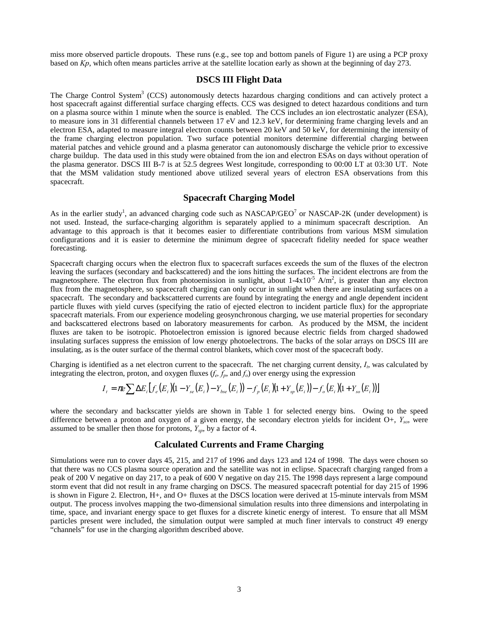miss more observed particle dropouts. These runs (e.g., see top and bottom panels of Figure 1) are using a PCP proxy based on *Kp*, which often means particles arrive at the satellite location early as shown at the beginning of day 273.

## **DSCS III Flight Data**

The Charge Control System<sup>3</sup> (CCS) autonomously detects hazardous charging conditions and can actively protect a host spacecraft against differential surface charging effects. CCS was designed to detect hazardous conditions and turn on a plasma source within 1 minute when the source is enabled. The CCS includes an ion electrostatic analyzer (ESA), to measure ions in 31 differential channels between 17 eV and 12.3 keV, for determining frame charging levels and an electron ESA, adapted to measure integral electron counts between 20 keV and 50 keV, for determining the intensity of the frame charging electron population. Two surface potential monitors determine differential charging between material patches and vehicle ground and a plasma generator can autonomously discharge the vehicle prior to excessive charge buildup. The data used in this study were obtained from the ion and electron ESAs on days without operation of the plasma generator. DSCS III B-7 is at 52.5 degrees West longitude, corresponding to 00:00 LT at 03:30 UT. Note that the MSM validation study mentioned above utilized several years of electron ESA observations from this spacecraft.

## **Spacecraft Charging Model**

As in the earlier study<sup>1</sup>, an advanced charging code such as NASCAP/GEO<sup>7</sup> or NASCAP-2K (under development) is not used. Instead, the surface-charging algorithm is separately applied to a minimum spacecraft description. An advantage to this approach is that it becomes easier to differentiate contributions from various MSM simulation configurations and it is easier to determine the minimum degree of spacecraft fidelity needed for space weather forecasting.

Spacecraft charging occurs when the electron flux to spacecraft surfaces exceeds the sum of the fluxes of the electron leaving the surfaces (secondary and backscattered) and the ions hitting the surfaces. The incident electrons are from the magnetosphere. The electron flux from photoemission in sunlight, about  $1-4\times10^{-5}$  A/m<sup>2</sup>, is greater than any electron flux from the magnetosphere, so spacecraft charging can only occur in sunlight when there are insulating surfaces on a spacecraft. The secondary and backscattered currents are found by integrating the energy and angle dependent incident particle fluxes with yield curves (specifying the ratio of ejected electron to incident particle flux) for the appropriate spacecraft materials. From our experience modeling geosynchronous charging, we use material properties for secondary and backscattered electrons based on laboratory measurements for carbon. As produced by the MSM, the incident fluxes are taken to be isotropic. Photoelectron emission is ignored because electric fields from charged shadowed insulating surfaces suppress the emission of low energy photoelectrons. The backs of the solar arrays on DSCS III are insulating, as is the outer surface of the thermal control blankets, which cover most of the spacecraft body.

Charging is identified as a net electron current to the spacecraft. The net charging current density,  $I_t$ , was calculated by integrating the electron, proton, and oxygen fluxes  $(f_e, \bar{f}_p, \text{and } f_o)$  over energy using the expression

$$
I_{t} = \pi e \sum \Delta E_{i} \left[ f_{e}(E_{i}) (1 - Y_{se}(E_{i}) - Y_{bse}(E_{i})) - f_{p}(E_{i}) (1 + Y_{sp}(E_{i})) - f_{o}(E_{i}) (1 + Y_{so}(E_{i})) \right]
$$

where the secondary and backscatter yields are shown in Table 1 for selected energy bins. Owing to the speed difference between a proton and oxygen of a given energy, the secondary electron yields for incident O+, *Yso*, were assumed to be smaller then those for protons,  $Y_{\text{sp}}$ , by a factor of 4.

## **Calculated Currents and Frame Charging**

Simulations were run to cover days 45, 215, and 217 of 1996 and days 123 and 124 of 1998. The days were chosen so that there was no CCS plasma source operation and the satellite was not in eclipse. Spacecraft charging ranged from a peak of 200 V negative on day 217, to a peak of 600 V negative on day 215. The 1998 days represent a large compound storm event that did not result in any frame charging on DSCS. The measured spacecraft potential for day 215 of 1996 is shown in Figure 2. Electron, H+, and O+ fluxes at the DSCS location were derived at 15-minute intervals from MSM output. The process involves mapping the two-dimensional simulation results into three dimensions and interpolating in time, space, and invariant energy space to get fluxes for a discrete kinetic energy of interest. To ensure that all MSM particles present were included, the simulation output were sampled at much finer intervals to construct 49 energy "channels" for use in the charging algorithm described above.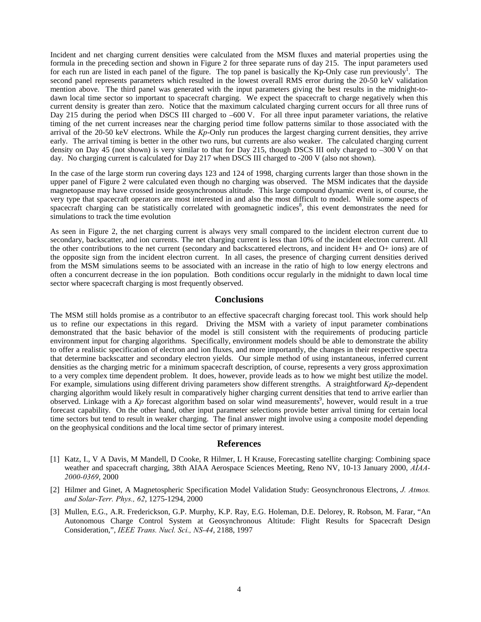Incident and net charging current densities were calculated from the MSM fluxes and material properties using the formula in the preceding section and shown in Figure 2 for three separate runs of day 215. The input parameters used for each run are listed in each panel of the figure. The top panel is basically the Kp-Only case run previously<sup>1</sup>. The second panel represents parameters which resulted in the lowest overall RMS error during the 20-50 keV validation mention above. The third panel was generated with the input parameters giving the best results in the midnight-todawn local time sector so important to spacecraft charging. We expect the spacecraft to charge negatively when this current density is greater than zero. Notice that the maximum calculated charging current occurs for all three runs of Day 215 during the period when DSCS III charged to –600 V. For all three input parameter variations, the relative timing of the net current increases near the charging period time follow patterns similar to those associated with the arrival of the 20-50 keV electrons. While the *Kp*-Only run produces the largest charging current densities, they arrive early. The arrival timing is better in the other two runs, but currents are also weaker. The calculated charging current density on Day 45 (not shown) is very similar to that for Day 215, though DSCS III only charged to –300 V on that day. No charging current is calculated for Day 217 when DSCS III charged to -200 V (also not shown).

In the case of the large storm run covering days 123 and 124 of 1998, charging currents larger than those shown in the upper panel of Figure 2 were calculated even though no charging was observed. The MSM indicates that the dayside magnetopause may have crossed inside geosynchronous altitude. This large compound dynamic event is, of course, the very type that spacecraft operators are most interested in and also the most difficult to model. While some aspects of spacecraft charging can be statistically correlated with geomagnetic indices<sup>8</sup>, this event demonstrates the need for simulations to track the time evolution

As seen in Figure 2, the net charging current is always very small compared to the incident electron current due to secondary, backscatter, and ion currents. The net charging current is less than 10% of the incident electron current. All the other contributions to the net current (secondary and backscattered electrons, and incident H+ and O+ ions) are of the opposite sign from the incident electron current. In all cases, the presence of charging current densities derived from the MSM simulations seems to be associated with an increase in the ratio of high to low energy electrons and often a concurrent decrease in the ion population. Both conditions occur regularly in the midnight to dawn local time sector where spacecraft charging is most frequently observed.

### **Conclusions**

The MSM still holds promise as a contributor to an effective spacecraft charging forecast tool. This work should help us to refine our expectations in this regard. Driving the MSM with a variety of input parameter combinations demonstrated that the basic behavior of the model is still consistent with the requirements of producing particle environment input for charging algorithms. Specifically, environment models should be able to demonstrate the ability to offer a realistic specification of electron and ion fluxes, and more importantly, the changes in their respective spectra that determine backscatter and secondary electron yields. Our simple method of using instantaneous, inferred current densities as the charging metric for a minimum spacecraft description, of course, represents a very gross approximation to a very complex time dependent problem. It does, however, provide leads as to how we might best utilize the model. For example, simulations using different driving parameters show different strengths. A straightforward *Kp*-dependent charging algorithm would likely result in comparatively higher charging current densities that tend to arrive earlier than observed. Linkage with a Kp forecast algorithm based on solar wind measurements<sup>9</sup>, however, would result in a true forecast capability. On the other hand, other input parameter selections provide better arrival timing for certain local time sectors but tend to result in weaker charging. The final answer might involve using a composite model depending on the geophysical conditions and the local time sector of primary interest.

#### **References**

- [1] Katz, I., V A Davis, M Mandell, D Cooke, R Hilmer, L H Krause, Forecasting satellite charging: Combining space weather and spacecraft charging, 38th AIAA Aerospace Sciences Meeting, Reno NV, 10-13 January 2000, *AIAA-2000-0369*, 2000
- [2] Hilmer and Ginet, A Magnetospheric Specification Model Validation Study: Geosynchronous Electrons, *J. Atmos. and Solar-Terr. Phys., 62*, 1275-1294, 2000
- [3] Mullen, E.G., A.R. Frederickson, G.P. Murphy, K.P. Ray, E.G. Holeman, D.E. Delorey, R. Robson, M. Farar, "An Autonomous Charge Control System at Geosynchronous Altitude: Flight Results for Spacecraft Design Consideration,", *IEEE Trans. Nucl. Sci., NS-44*, 2188, 1997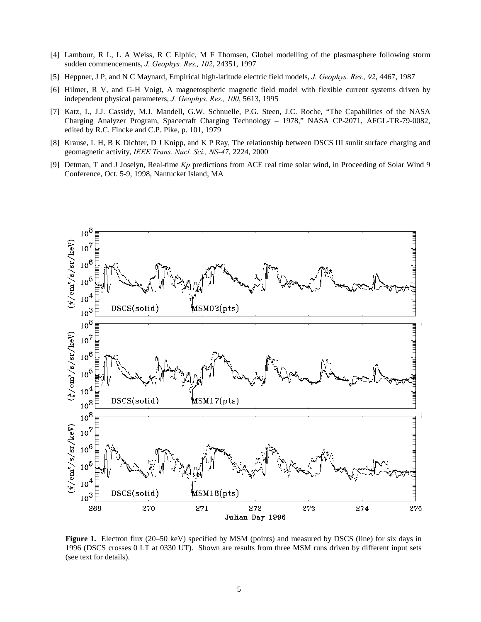- [4] Lambour, R L, L A Weiss, R C Elphic, M F Thomsen, Globel modelling of the plasmasphere following storm sudden commencements, *J. Geophys. Res., 102*, 24351, 1997
- [5] Heppner, J P, and N C Maynard, Empirical high-latitude electric field models, *J. Geophys. Res., 92*, 4467, 1987
- [6] Hilmer, R V, and G-H Voigt, A magnetospheric magnetic field model with flexible current systems driven by independent physical parameters, *J. Geophys. Res., 100*, 5613, 1995
- [7] Katz, I., J.J. Cassidy, M.J. Mandell, G.W. Schnuelle, P.G. Steen, J.C. Roche, "The Capabilities of the NASA Charging Analyzer Program, Spacecraft Charging Technology – 1978," NASA CP-2071, AFGL-TR-79-0082, edited by R.C. Fincke and C.P. Pike, p. 101, 1979
- [8] Krause, L H, B K Dichter, D J Knipp, and K P Ray, The relationship between DSCS III sunlit surface charging and geomagnetic activity, *IEEE Trans. Nucl. Sci., NS-47*, 2224, 2000
- [9] Detman, T and J Joselyn, Real-time *Kp* predictions from ACE real time solar wind, in Proceeding of Solar Wind 9 Conference, Oct. 5-9, 1998, Nantucket Island, MA



**Figure 1.** Electron flux (20–50 keV) specified by MSM (points) and measured by DSCS (line) for six days in 1996 (DSCS crosses 0 LT at 0330 UT). Shown are results from three MSM runs driven by different input sets (see text for details).